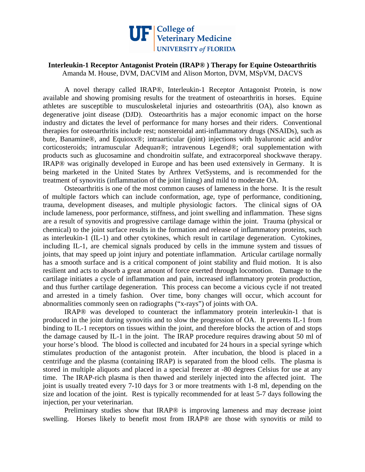

## **Interleukin-1 Receptor Antagonist Protein (IRAP® ) Therapy for Equine Osteoarthritis**  Amanda M. House, DVM, DACVIM and Alison Morton, DVM, MSpVM, DACVS

 A novel therapy called IRAP®, Interleukin-1 Receptor Antagonist Protein, is now available and showing promising results for the treatment of osteoarthritis in horses. Equine athletes are susceptible to musculoskeletal injuries and osteoarthritis (OA), also known as degenerative joint disease (DJD). Osteoarthritis has a major economic impact on the horse industry and dictates the level of performance for many horses and their riders. Conventional therapies for osteoarthritis include rest; nonsteroidal anti-inflammatory drugs (NSAIDs), such as bute, Banamine®, and Equioxx®; intraarticular (joint) injections with hyaluronic acid and/or corticosteroids; intramuscular Adequan®; intravenous Legend®; oral supplementation with products such as glucosamine and chondroitin sulfate, and extracorporeal shockwave therapy. IRAP® was originally developed in Europe and has been used extensively in Germany. It is being marketed in the United States by Arthrex VetSystems, and is recommended for the treatment of synovitis (inflammation of the joint lining) and mild to moderate OA.

 Osteoarthritis is one of the most common causes of lameness in the horse. It is the result of multiple factors which can include conformation, age, type of performance, conditioning, trauma, development diseases, and multiple physiologic factors. The clinical signs of OA include lameness, poor performance, stiffness, and joint swelling and inflammation. These signs are a result of synovitis and progressive cartilage damage within the joint. Trauma (physical or chemical) to the joint surface results in the formation and release of inflammatory proteins, such as interleukin-1 (IL-1) and other cytokines, which result in cartilage degeneration. Cytokines, including IL-1, are chemical signals produced by cells in the immune system and tissues of joints, that may speed up joint injury and potentiate inflammation. Articular cartilage normally has a smooth surface and is a critical component of joint stability and fluid motion. It is also resilient and acts to absorb a great amount of force exerted through locomotion. Damage to the cartilage initiates a cycle of inflammation and pain, increased inflammatory protein production, and thus further cartilage degeneration. This process can become a vicious cycle if not treated and arrested in a timely fashion. Over time, bony changes will occur, which account for abnormalities commonly seen on radiographs ("x-rays") of joints with OA.

 IRAP® was developed to counteract the inflammatory protein interleukin-1 that is produced in the joint during synovitis and to slow the progression of OA. It prevents IL-1 from binding to IL-1 receptors on tissues within the joint, and therefore blocks the action of and stops the damage caused by IL-1 in the joint. The IRAP procedure requires drawing about 50 ml of your horse's blood. The blood is collected and incubated for 24 hours in a special syringe which stimulates production of the antagonist protein. After incubation, the blood is placed in a centrifuge and the plasma (containing IRAP) is separated from the blood cells. The plasma is stored in multiple aliquots and placed in a special freezer at -80 degrees Celsius for use at any time. The IRAP-rich plasma is then thawed and sterilely injected into the affected joint. The joint is usually treated every 7-10 days for 3 or more treatments with 1-8 ml, depending on the size and location of the joint. Rest is typically recommended for at least 5-7 days following the injection, per your veterinarian.

 Preliminary studies show that IRAP® is improving lameness and may decrease joint swelling. Horses likely to benefit most from IRAP® are those with synovitis or mild to